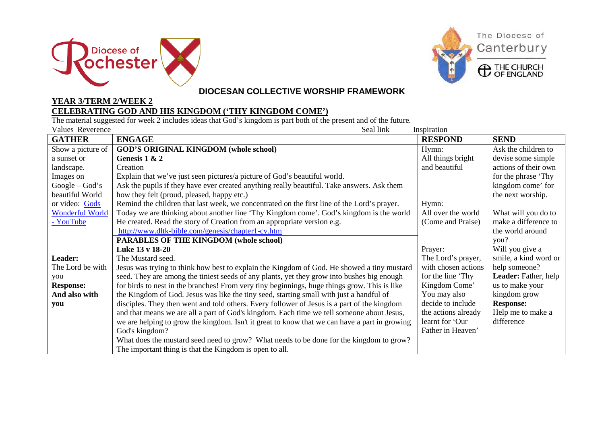





**DIOCESAN COLLECTIVE WORSHIP FRAMEWORK**

## **YEAR 3/TERM 2/WEEK 2 CELEBRATING GOD AND HIS KINGDOM ('THY KINGDOM COME')**

The material suggested for week 2 includes ideas that God's kingdom is part both of the present and of the future.

| Values Reverence       | Seal link<br>Inspiration                                                                      |                     |                       |
|------------------------|-----------------------------------------------------------------------------------------------|---------------------|-----------------------|
| <b>GATHER</b>          | <b>ENGAGE</b>                                                                                 | <b>RESPOND</b>      | <b>SEND</b>           |
| Show a picture of      | <b>GOD'S ORIGINAL KINGDOM (whole school)</b>                                                  | Hymn:               | Ask the children to   |
| a sunset or            | Genesis 1 & 2                                                                                 | All things bright   | devise some simple    |
| landscape.             | Creation                                                                                      | and beautiful       | actions of their own  |
| Images on              | Explain that we've just seen pictures/a picture of God's beautiful world.                     |                     | for the phrase 'Thy   |
| $Google - God's$       | Ask the pupils if they have ever created anything really beautiful. Take answers. Ask them    |                     | kingdom come' for     |
| beautiful World        | how they felt (proud, pleased, happy etc.)                                                    |                     | the next worship.     |
| or video: Gods         | Remind the children that last week, we concentrated on the first line of the Lord's prayer.   | Hymn:               |                       |
| <b>Wonderful World</b> | Today we are thinking about another line 'Thy Kingdom come'. God's kingdom is the world       | All over the world  | What will you do to   |
| - YouTube              | He created. Read the story of Creation from an appropriate version e.g.                       | (Come and Praise)   | make a difference to  |
|                        | http://www.dltk-bible.com/genesis/chapter1-cv.htm                                             |                     | the world around      |
|                        | <b>PARABLES OF THE KINGDOM (whole school)</b>                                                 |                     | you?                  |
|                        | Luke 13 v 18-20                                                                               | Prayer:             | Will you give a       |
| Leader:                | The Mustard seed.                                                                             | The Lord's prayer,  | smile, a kind word or |
| The Lord be with       | Jesus was trying to think how best to explain the Kingdom of God. He showed a tiny mustard    | with chosen actions | help someone?         |
| you                    | seed. They are among the timest seeds of any plants, yet they grow into bushes big enough     | for the line 'Thy   | Leader: Father, help  |
| <b>Response:</b>       | for birds to nest in the branches! From very tiny beginnings, huge things grow. This is like  | Kingdom Come'       | us to make your       |
| And also with          | the Kingdom of God. Jesus was like the tiny seed, starting small with just a handful of       | You may also        | kingdom grow          |
| you                    | disciples. They then went and told others. Every follower of Jesus is a part of the kingdom   | decide to include   | <b>Response:</b>      |
|                        | and that means we are all a part of God's kingdom. Each time we tell someone about Jesus,     | the actions already | Help me to make a     |
|                        | we are helping to grow the kingdom. Isn't it great to know that we can have a part in growing | learnt for 'Our     | difference            |
|                        | God's kingdom?                                                                                | Father in Heaven'   |                       |
|                        | What does the mustard seed need to grow? What needs to be done for the kingdom to grow?       |                     |                       |
|                        | The important thing is that the Kingdom is open to all.                                       |                     |                       |